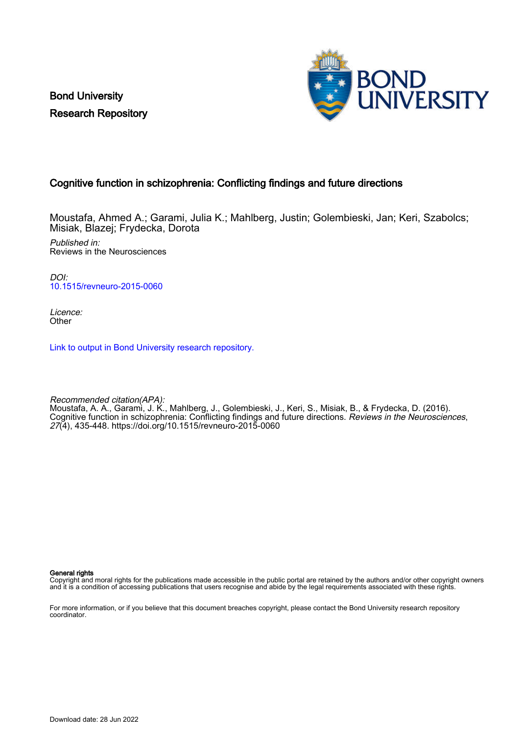Bond University Research Repository



### Cognitive function in schizophrenia: Conflicting findings and future directions

Moustafa, Ahmed A.; Garami, Julia K.; Mahlberg, Justin; Golembieski, Jan; Keri, Szabolcs; Misiak, Blazej; Frydecka, Dorota

Published in: Reviews in the Neurosciences

DOI: [10.1515/revneuro-2015-0060](https://doi.org/10.1515/revneuro-2015-0060)

Licence: **Other** 

[Link to output in Bond University research repository.](https://research.bond.edu.au/en/publications/23153235-70e4-4226-995e-18b63002a83d)

Recommended citation(APA): Moustafa, A. A., Garami, J. K., Mahlberg, J., Golembieski, J., Keri, S., Misiak, B., & Frydecka, D. (2016). Cognitive function in schizophrenia: Conflicting findings and future directions. Reviews in the Neurosciences, 27(4), 435-448.<https://doi.org/10.1515/revneuro-2015-0060>

General rights

Copyright and moral rights for the publications made accessible in the public portal are retained by the authors and/or other copyright owners and it is a condition of accessing publications that users recognise and abide by the legal requirements associated with these rights.

For more information, or if you believe that this document breaches copyright, please contact the Bond University research repository coordinator.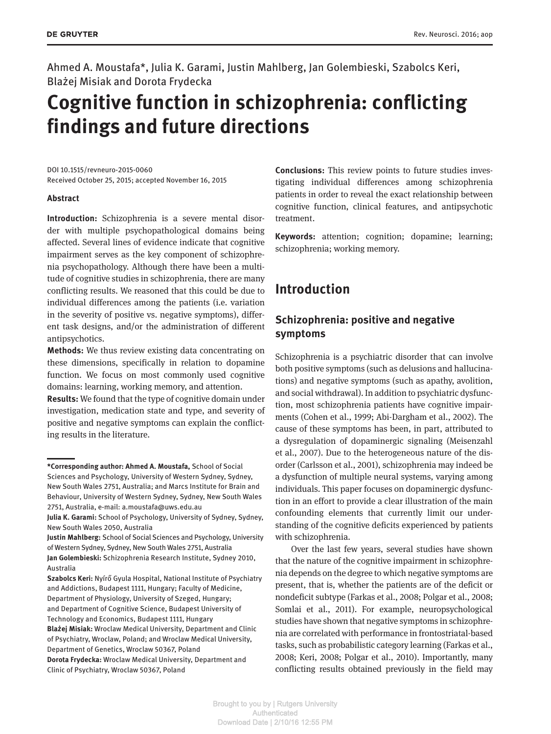Ahmed A. Moustafa\*, Julia K. Garami, Justin Mahlberg, Jan Golembieski, Szabolcs Keri, BlaŻej Misiak and Dorota Frydecka

# **Cognitive function in schizophrenia: conflicting findings and future directions**

DOI 10.1515/revneuro-2015-0060 Received October 25, 2015; accepted November 16, 2015

#### **Abstract**

**Introduction:** Schizophrenia is a severe mental disorder with multiple psychopathological domains being affected. Several lines of evidence indicate that cognitive impairment serves as the key component of schizophrenia psychopathology. Although there have been a multitude of cognitive studies in schizophrenia, there are many conflicting results. We reasoned that this could be due to individual differences among the patients (i.e. variation in the severity of positive vs. negative symptoms), different task designs, and/or the administration of different antipsychotics.

**Methods:** We thus review existing data concentrating on these dimensions, specifically in relation to dopamine function. We focus on most commonly used cognitive domains: learning, working memory, and attention.

**Results:** We found that the type of cognitive domain under investigation, medication state and type, and severity of positive and negative symptoms can explain the conflicting results in the literature.

Clinic of Psychiatry, Wroclaw 50367, Poland

**Conclusions:** This review points to future studies investigating individual differences among schizophrenia patients in order to reveal the exact relationship between cognitive function, clinical features, and antipsychotic treatment.

**Keywords:** attention; cognition; dopamine; learning; schizophrenia; working memory.

### **Introduction**

### **Schizophrenia: positive and negative symptoms**

Schizophrenia is a psychiatric disorder that can involve both positive symptoms (such as delusions and hallucinations) and negative symptoms (such as apathy, avolition, and social withdrawal). In addition to psychiatric dysfunction, most schizophrenia patients have cognitive impairments (Cohen et al., 1999; Abi-Dargham et al., 2002). The cause of these symptoms has been, in part, attributed to a dysregulation of dopaminergic signaling (Meisenzahl et al., 2007). Due to the heterogeneous nature of the disorder (Carlsson et al., 2001), schizophrenia may indeed be a dysfunction of multiple neural systems, varying among individuals. This paper focuses on dopaminergic dysfunction in an effort to provide a clear illustration of the main confounding elements that currently limit our understanding of the cognitive deficits experienced by patients with schizophrenia.

Over the last few years, several studies have shown that the nature of the cognitive impairment in schizophrenia depends on the degree to which negative symptoms are present, that is, whether the patients are of the deficit or nondeficit subtype (Farkas et al., 2008; Polgar et al., 2008; Somlai et al., 2011). For example, neuropsychological studies have shown that negative symptoms in schizophrenia are correlated with performance in frontostriatal-based tasks, such as probabilistic category learning (Farkas et al., 2008; Keri, 2008; Polgar et al., 2010). Importantly, many conflicting results obtained previously in the field may

**<sup>\*</sup>Corresponding author: Ahmed A. Moustafa,** School of Social Sciences and Psychology, University of Western Sydney, Sydney, New South Wales 2751, Australia; and Marcs Institute for Brain and Behaviour, University of Western Sydney, Sydney, New South Wales 2751, Australia, e-mail: [a.moustafa@uws.edu.au](mailto:a.moustafa@uws.edu.au)

**Julia K. Garami:** School of Psychology, University of Sydney, Sydney, New South Wales 2050, Australia

**Justin Mahlberg:** School of Social Sciences and Psychology, University of Western Sydney, Sydney, New South Wales 2751, Australia **Jan Golembieski:** Schizophrenia Research Institute, Sydney 2010, Australia

**Szabolcs Keri:** Nyírő Gyula Hospital, National Institute of Psychiatry and Addictions, Budapest 1111, Hungary; Faculty of Medicine, Department of Physiology, University of Szeged, Hungary; and Department of Cognitive Science, Budapest University of Technology and Economics, Budapest 1111, Hungary **BlaŻej Misiak:** Wroclaw Medical University, Department and Clinic of Psychiatry, Wroclaw, Poland; and Wroclaw Medical University, Department of Genetics, Wroclaw 50367, Poland **Dorota Frydecka:** Wroclaw Medical University, Department and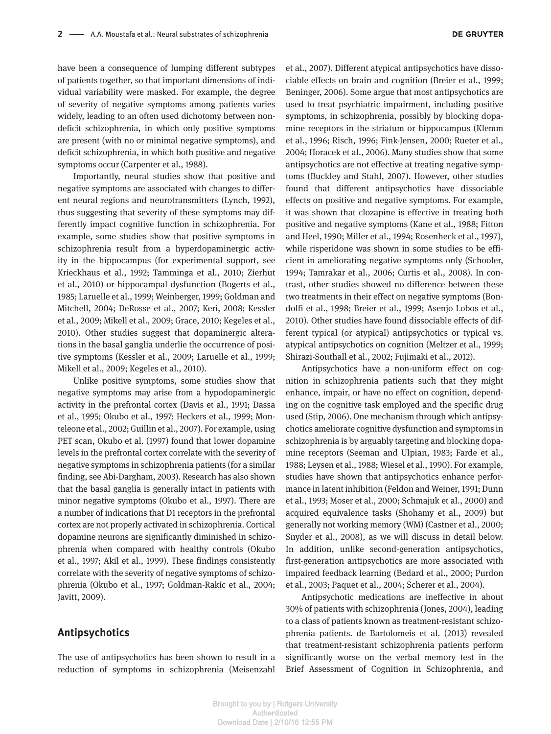have been a consequence of lumping different subtypes of patients together, so that important dimensions of individual variability were masked. For example, the degree of severity of negative symptoms among patients varies widely, leading to an often used dichotomy between nondeficit schizophrenia, in which only positive symptoms are present (with no or minimal negative symptoms), and deficit schizophrenia, in which both positive and negative symptoms occur (Carpenter et al., 1988).

Importantly, neural studies show that positive and negative symptoms are associated with changes to different neural regions and neurotransmitters (Lynch, 1992), thus suggesting that severity of these symptoms may differently impact cognitive function in schizophrenia. For example, some studies show that positive symptoms in schizophrenia result from a hyperdopaminergic activity in the hippocampus (for experimental support, see Krieckhaus et al., 1992; Tamminga et al., 2010; Zierhut et al., 2010) or hippocampal dysfunction (Bogerts et al., 1985; Laruelle et al., 1999; Weinberger, 1999; Goldman and Mitchell, 2004; DeRosse et al., 2007; Keri, 2008; Kessler et al., 2009; Mikell et al., 2009; Grace, 2010; Kegeles et al., 2010). Other studies suggest that dopaminergic alterations in the basal ganglia underlie the occurrence of positive symptoms (Kessler et al., 2009; Laruelle et al., 1999; Mikell et al., 2009; Kegeles et al., 2010).

Unlike positive symptoms, some studies show that negative symptoms may arise from a hypodopaminergic activity in the prefrontal cortex (Davis et al., 1991; Dassa et al., 1995; Okubo et al., 1997; Heckers et al., 1999; Monteleone et al., 2002; Guillin et al., 2007). For example, using PET scan, Okubo et al. (1997) found that lower dopamine levels in the prefrontal cortex correlate with the severity of negative symptoms in schizophrenia patients (for a similar finding, see Abi-Dargham, 2003). Research has also shown that the basal ganglia is generally intact in patients with minor negative symptoms (Okubo et al., 1997). There are a number of indications that D1 receptors in the prefrontal cortex are not properly activated in schizophrenia. Cortical dopamine neurons are significantly diminished in schizophrenia when compared with healthy controls (Okubo et al., 1997; Akil et al., 1999). These findings consistently correlate with the severity of negative symptoms of schizophrenia (Okubo et al., 1997; Goldman-Rakic et al., 2004; Javitt, 2009).

### **Antipsychotics**

The use of antipsychotics has been shown to result in a reduction of symptoms in schizophrenia (Meisenzahl et al., 2007). Different atypical antipsychotics have dissociable effects on brain and cognition (Breier et al., 1999; Beninger, 2006). Some argue that most antipsychotics are used to treat psychiatric impairment, including positive symptoms, in schizophrenia, possibly by blocking dopamine receptors in the striatum or hippocampus (Klemm et al., 1996; Risch, 1996; Fink-Jensen, 2000; Rueter et al., 2004; Horacek et al., 2006). Many studies show that some antipsychotics are not effective at treating negative symptoms (Buckley and Stahl, 2007). However, other studies found that different antipsychotics have dissociable effects on positive and negative symptoms. For example, it was shown that clozapine is effective in treating both positive and negative symptoms (Kane et al., 1988; Fitton and Heel, 1990; Miller et al., 1994; Rosenheck et al., 1997), while risperidone was shown in some studies to be efficient in ameliorating negative symptoms only (Schooler, 1994; Tamrakar et al., 2006; Curtis et al., 2008). In contrast, other studies showed no difference between these two treatments in their effect on negative symptoms (Bondolfi et al., 1998; Breier et al., 1999; Asenjo Lobos et al., 2010). Other studies have found dissociable effects of different typical (or atypical) antipsychotics or typical vs. atypical antipsychotics on cognition (Meltzer et al., 1999; Shirazi-Southall et al., 2002; Fujimaki et al., 2012).

Antipsychotics have a non-uniform effect on cognition in schizophrenia patients such that they might enhance, impair, or have no effect on cognition, depending on the cognitive task employed and the specific drug used (Stip, 2006). One mechanism through which antipsychotics ameliorate cognitive dysfunction and symptoms in schizophrenia is by arguably targeting and blocking dopamine receptors (Seeman and Ulpian, 1983; Farde et al., 1988; Leysen et al., 1988; Wiesel et al., 1990). For example, studies have shown that antipsychotics enhance performance in latent inhibition (Feldon and Weiner, 1991; Dunn et al., 1993; Moser et al., 2000; Schmajuk et al., 2000) and acquired equivalence tasks (Shohamy et al., 2009) but generally not working memory (WM) (Castner et al., 2000; Snyder et al., 2008), as we will discuss in detail below. In addition, unlike second-generation antipsychotics, first-generation antipsychotics are more associated with impaired feedback learning (Bedard et al., 2000; Purdon et al., 2003; Paquet et al., 2004; Scherer et al., 2004).

Antipsychotic medications are ineffective in about 30% of patients with schizophrenia (Jones, 2004), leading to a class of patients known as treatment-resistant schizophrenia patients. de Bartolomeis et al. (2013) revealed that treatment-resistant schizophrenia patients perform significantly worse on the verbal memory test in the Brief Assessment of Cognition in Schizophrenia, and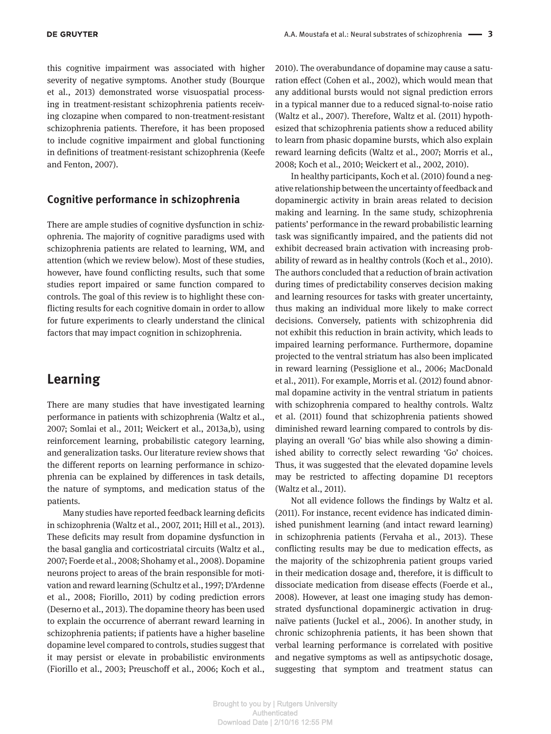this cognitive impairment was associated with higher severity of negative symptoms. Another study (Bourque et al., 2013) demonstrated worse visuospatial processing in treatment-resistant schizophrenia patients receiving clozapine when compared to non-treatment-resistant schizophrenia patients. Therefore, it has been proposed to include cognitive impairment and global functioning in definitions of treatment-resistant schizophrenia (Keefe and Fenton, 2007).

#### **Cognitive performance in schizophrenia**

There are ample studies of cognitive dysfunction in schizophrenia. The majority of cognitive paradigms used with schizophrenia patients are related to learning, WM, and attention (which we review below). Most of these studies, however, have found conflicting results, such that some studies report impaired or same function compared to controls. The goal of this review is to highlight these conflicting results for each cognitive domain in order to allow for future experiments to clearly understand the clinical factors that may impact cognition in schizophrenia.

# **Learning**

There are many studies that have investigated learning performance in patients with schizophrenia (Waltz et al., 2007; Somlai et al., 2011; Weickert et al., 2013a,b), using reinforcement learning, probabilistic category learning, and generalization tasks. Our literature review shows that the different reports on learning performance in schizophrenia can be explained by differences in task details, the nature of symptoms, and medication status of the patients.

Many studies have reported feedback learning deficits in schizophrenia (Waltz et al., 2007, 2011; Hill et al., 2013). These deficits may result from dopamine dysfunction in the basal ganglia and corticostriatal circuits (Waltz et al., 2007; Foerde et al., 2008; Shohamy et al., 2008). Dopamine neurons project to areas of the brain responsible for motivation and reward learning (Schultz et al., 1997; D'Ardenne et al., 2008; Fiorillo, 2011) by coding prediction errors (Deserno et al., 2013). The dopamine theory has been used to explain the occurrence of aberrant reward learning in schizophrenia patients; if patients have a higher baseline dopamine level compared to controls, studies suggest that it may persist or elevate in probabilistic environments (Fiorillo et al., 2003; Preuschoff et al., 2006; Koch et al.,

2010). The overabundance of dopamine may cause a saturation effect (Cohen et al., 2002), which would mean that any additional bursts would not signal prediction errors in a typical manner due to a reduced signal-to-noise ratio (Waltz et al., 2007). Therefore, Waltz et al. (2011) hypothesized that schizophrenia patients show a reduced ability to learn from phasic dopamine bursts, which also explain reward learning deficits (Waltz et al., 2007; Morris et al., 2008; Koch et al., 2010; Weickert et al., 2002, 2010).

In healthy participants, Koch et al. (2010) found a negative relationship between the uncertainty of feedback and dopaminergic activity in brain areas related to decision making and learning. In the same study, schizophrenia patients' performance in the reward probabilistic learning task was significantly impaired, and the patients did not exhibit decreased brain activation with increasing probability of reward as in healthy controls (Koch et al., 2010). The authors concluded that a reduction of brain activation during times of predictability conserves decision making and learning resources for tasks with greater uncertainty, thus making an individual more likely to make correct decisions. Conversely, patients with schizophrenia did not exhibit this reduction in brain activity, which leads to impaired learning performance. Furthermore, dopamine projected to the ventral striatum has also been implicated in reward learning (Pessiglione et al., 2006; MacDonald et al., 2011). For example, Morris et al. (2012) found abnormal dopamine activity in the ventral striatum in patients with schizophrenia compared to healthy controls. Waltz et al. (2011) found that schizophrenia patients showed diminished reward learning compared to controls by displaying an overall 'Go' bias while also showing a diminished ability to correctly select rewarding 'Go' choices. Thus, it was suggested that the elevated dopamine levels may be restricted to affecting dopamine D1 receptors (Waltz et al., 2011).

Not all evidence follows the findings by Waltz et al. (2011). For instance, recent evidence has indicated diminished punishment learning (and intact reward learning) in schizophrenia patients (Fervaha et al., 2013). These conflicting results may be due to medication effects, as the majority of the schizophrenia patient groups varied in their medication dosage and, therefore, it is difficult to dissociate medication from disease effects (Foerde et al., 2008). However, at least one imaging study has demonstrated dysfunctional dopaminergic activation in drugnaïve patients (Juckel et al., 2006). In another study, in chronic schizophrenia patients, it has been shown that verbal learning performance is correlated with positive and negative symptoms as well as antipsychotic dosage, suggesting that symptom and treatment status can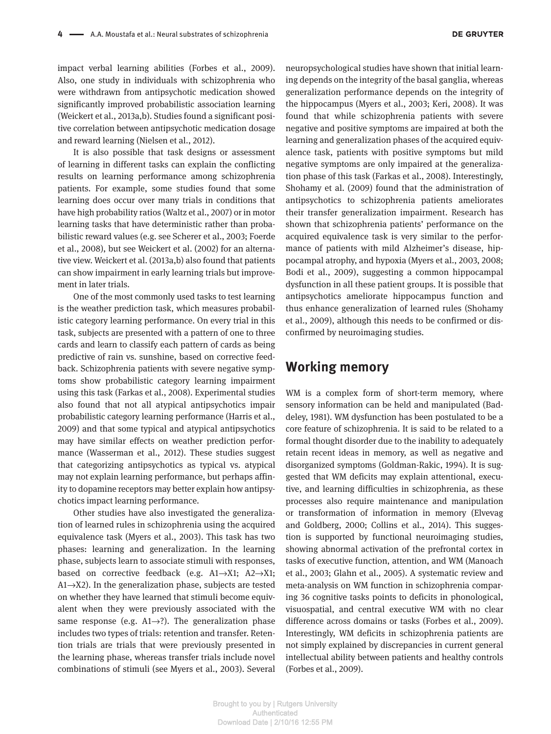impact verbal learning abilities (Forbes et al., 2009). Also, one study in individuals with schizophrenia who were withdrawn from antipsychotic medication showed significantly improved probabilistic association learning (Weickert et al., 2013a,b). Studies found a significant positive correlation between antipsychotic medication dosage and reward learning (Nielsen et al., 2012).

It is also possible that task designs or assessment of learning in different tasks can explain the conflicting results on learning performance among schizophrenia patients. For example, some studies found that some learning does occur over many trials in conditions that have high probability ratios (Waltz et al., 2007) or in motor learning tasks that have deterministic rather than probabilistic reward values (e.g. see Scherer et al., 2003; Foerde et al., 2008), but see Weickert et al. (2002) for an alternative view. Weickert et al. (2013a,b) also found that patients can show impairment in early learning trials but improvement in later trials.

One of the most commonly used tasks to test learning is the weather prediction task, which measures probabilistic category learning performance. On every trial in this task, subjects are presented with a pattern of one to three cards and learn to classify each pattern of cards as being predictive of rain vs. sunshine, based on corrective feedback. Schizophrenia patients with severe negative symptoms show probabilistic category learning impairment using this task (Farkas et al., 2008). Experimental studies also found that not all atypical antipsychotics impair probabilistic category learning performance (Harris et al., 2009) and that some typical and atypical antipsychotics may have similar effects on weather prediction performance (Wasserman et al., 2012). These studies suggest that categorizing antipsychotics as typical vs. atypical may not explain learning performance, but perhaps affinity to dopamine receptors may better explain how antipsychotics impact learning performance.

Other studies have also investigated the generalization of learned rules in schizophrenia using the acquired equivalence task (Myers et al., 2003). This task has two phases: learning and generalization. In the learning phase, subjects learn to associate stimuli with responses, based on corrective feedback (e.g. A1→X1; A2→X1;  $A1\rightarrow X2$ ). In the generalization phase, subjects are tested on whether they have learned that stimuli become equivalent when they were previously associated with the same response (e.g.  $A1\rightarrow ?$ ). The generalization phase includes two types of trials: retention and transfer. Retention trials are trials that were previously presented in the learning phase, whereas transfer trials include novel combinations of stimuli (see Myers et al., 2003). Several

neuropsychological studies have shown that initial learning depends on the integrity of the basal ganglia, whereas generalization performance depends on the integrity of the hippocampus (Myers et al., 2003; Keri, 2008). It was found that while schizophrenia patients with severe negative and positive symptoms are impaired at both the learning and generalization phases of the acquired equivalence task, patients with positive symptoms but mild negative symptoms are only impaired at the generalization phase of this task (Farkas et al., 2008). Interestingly, Shohamy et al. (2009) found that the administration of antipsychotics to schizophrenia patients ameliorates their transfer generalization impairment. Research has shown that schizophrenia patients' performance on the acquired equivalence task is very similar to the performance of patients with mild Alzheimer's disease, hippocampal atrophy, and hypoxia (Myers et al., 2003, 2008; Bodi et al., 2009), suggesting a common hippocampal dysfunction in all these patient groups. It is possible that antipsychotics ameliorate hippocampus function and thus enhance generalization of learned rules (Shohamy et al., 2009), although this needs to be confirmed or disconfirmed by neuroimaging studies.

### **Working memory**

WM is a complex form of short-term memory, where sensory information can be held and manipulated (Baddeley, 1981). WM dysfunction has been postulated to be a core feature of schizophrenia. It is said to be related to a formal thought disorder due to the inability to adequately retain recent ideas in memory, as well as negative and disorganized symptoms (Goldman-Rakic, 1994). It is suggested that WM deficits may explain attentional, executive, and learning difficulties in schizophrenia, as these processes also require maintenance and manipulation or transformation of information in memory (Elvevag and Goldberg, 2000; Collins et al., 2014). This suggestion is supported by functional neuroimaging studies, showing abnormal activation of the prefrontal cortex in tasks of executive function, attention, and WM (Manoach et al., 2003; Glahn et al., 2005). A systematic review and meta-analysis on WM function in schizophrenia comparing 36 cognitive tasks points to deficits in phonological, visuospatial, and central executive WM with no clear difference across domains or tasks (Forbes et al., 2009). Interestingly, WM deficits in schizophrenia patients are not simply explained by discrepancies in current general intellectual ability between patients and healthy controls (Forbes et al., 2009).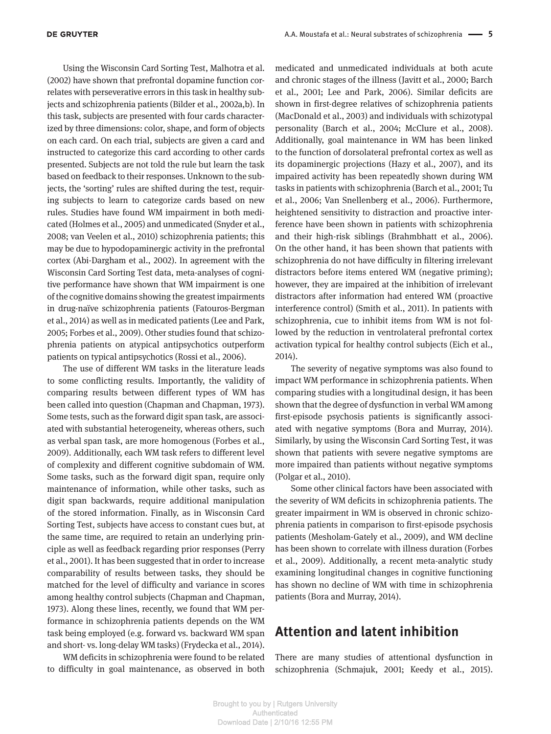Using the Wisconsin Card Sorting Test, Malhotra et al. (2002) have shown that prefrontal dopamine function correlates with perseverative errors in this task in healthy subjects and schizophrenia patients (Bilder et al., 2002a,b). In this task, subjects are presented with four cards characterized by three dimensions: color, shape, and form of objects on each card. On each trial, subjects are given a card and instructed to categorize this card according to other cards presented. Subjects are not told the rule but learn the task based on feedback to their responses. Unknown to the subjects, the 'sorting' rules are shifted during the test, requiring subjects to learn to categorize cards based on new rules. Studies have found WM impairment in both medicated (Holmes et al., 2005) and unmedicated (Snyder et al., 2008; van Veelen et al., 2010) schizophrenia patients; this may be due to hypodopaminergic activity in the prefrontal cortex (Abi-Dargham et al., 2002). In agreement with the Wisconsin Card Sorting Test data, meta-analyses of cognitive performance have shown that WM impairment is one of the cognitive domains showing the greatest impairments in drug-naïve schizophrenia patients (Fatouros-Bergman et al., 2014) as well as in medicated patients (Lee and Park, 2005; Forbes et al., 2009). Other studies found that schizophrenia patients on atypical antipsychotics outperform patients on typical antipsychotics (Rossi et al., 2006).

The use of different WM tasks in the literature leads to some conflicting results. Importantly, the validity of comparing results between different types of WM has been called into question (Chapman and Chapman, 1973). Some tests, such as the forward digit span task, are associated with substantial heterogeneity, whereas others, such as verbal span task, are more homogenous (Forbes et al., 2009). Additionally, each WM task refers to different level of complexity and different cognitive subdomain of WM. Some tasks, such as the forward digit span, require only maintenance of information, while other tasks, such as digit span backwards, require additional manipulation of the stored information. Finally, as in Wisconsin Card Sorting Test, subjects have access to constant cues but, at the same time, are required to retain an underlying principle as well as feedback regarding prior responses (Perry et al., 2001). It has been suggested that in order to increase comparability of results between tasks, they should be matched for the level of difficulty and variance in scores among healthy control subjects (Chapman and Chapman, 1973). Along these lines, recently, we found that WM performance in schizophrenia patients depends on the WM task being employed (e.g. forward vs. backward WM span and short- vs. long-delay WM tasks) (Frydecka et al., 2014).

WM deficits in schizophrenia were found to be related to difficulty in goal maintenance, as observed in both

medicated and unmedicated individuals at both acute and chronic stages of the illness (Javitt et al., 2000; Barch et al., 2001; Lee and Park, 2006). Similar deficits are shown in first-degree relatives of schizophrenia patients (MacDonald et al., 2003) and individuals with schizotypal personality (Barch et al., 2004; McClure et al., 2008). Additionally, goal maintenance in WM has been linked to the function of dorsolateral prefrontal cortex as well as its dopaminergic projections (Hazy et al., 2007), and its impaired activity has been repeatedly shown during WM tasks in patients with schizophrenia (Barch et al., 2001; Tu et al., 2006; Van Snellenberg et al., 2006). Furthermore, heightened sensitivity to distraction and proactive interference have been shown in patients with schizophrenia and their high-risk siblings (Brahmbhatt et al., 2006). On the other hand, it has been shown that patients with schizophrenia do not have difficulty in filtering irrelevant distractors before items entered WM (negative priming); however, they are impaired at the inhibition of irrelevant distractors after information had entered WM (proactive interference control) (Smith et al., 2011). In patients with schizophrenia, cue to inhibit items from WM is not followed by the reduction in ventrolateral prefrontal cortex activation typical for healthy control subjects (Eich et al., 2014).

The severity of negative symptoms was also found to impact WM performance in schizophrenia patients. When comparing studies with a longitudinal design, it has been shown that the degree of dysfunction in verbal WM among first-episode psychosis patients is significantly associated with negative symptoms (Bora and Murray, 2014). Similarly, by using the Wisconsin Card Sorting Test, it was shown that patients with severe negative symptoms are more impaired than patients without negative symptoms (Polgar et al., 2010).

Some other clinical factors have been associated with the severity of WM deficits in schizophrenia patients. The greater impairment in WM is observed in chronic schizophrenia patients in comparison to first-episode psychosis patients (Mesholam-Gately et al., 2009), and WM decline has been shown to correlate with illness duration (Forbes et al., 2009). Additionally, a recent meta-analytic study examining longitudinal changes in cognitive functioning has shown no decline of WM with time in schizophrenia patients (Bora and Murray, 2014).

# **Attention and latent inhibition**

There are many studies of attentional dysfunction in schizophrenia (Schmajuk, 2001; Keedy et al., 2015).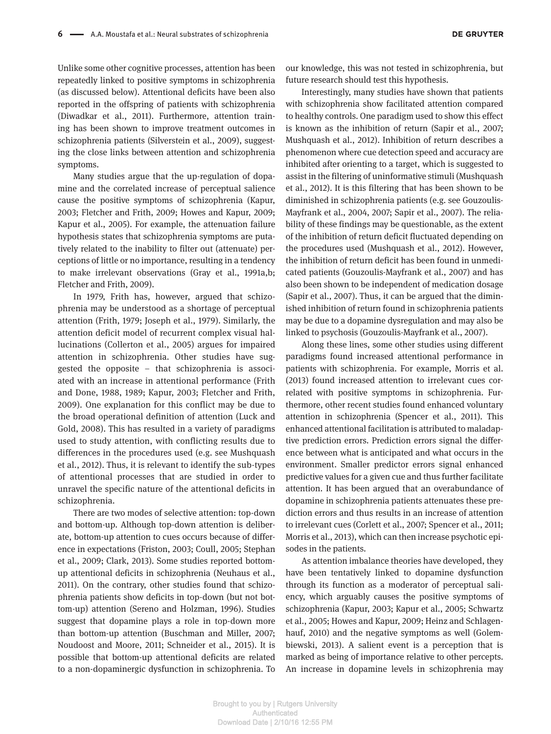Unlike some other cognitive processes, attention has been repeatedly linked to positive symptoms in schizophrenia (as discussed below). Attentional deficits have been also reported in the offspring of patients with schizophrenia (Diwadkar et al., 2011). Furthermore, attention training has been shown to improve treatment outcomes in schizophrenia patients (Silverstein et al., 2009), suggesting the close links between attention and schizophrenia symptoms.

Many studies argue that the up-regulation of dopamine and the correlated increase of perceptual salience cause the positive symptoms of schizophrenia (Kapur, 2003; Fletcher and Frith, 2009; Howes and Kapur, 2009; Kapur et al., 2005). For example, the attenuation failure hypothesis states that schizophrenia symptoms are putatively related to the inability to filter out (attenuate) perceptions of little or no importance, resulting in a tendency to make irrelevant observations (Gray et al., 1991a,b; Fletcher and Frith, 2009).

In 1979, Frith has, however, argued that schizophrenia may be understood as a shortage of perceptual attention (Frith, 1979; Joseph et al., 1979). Similarly, the attention deficit model of recurrent complex visual hallucinations (Collerton et al., 2005) argues for impaired attention in schizophrenia. Other studies have suggested the opposite – that schizophrenia is associated with an increase in attentional performance (Frith and Done, 1988, 1989; Kapur, 2003; Fletcher and Frith, 2009). One explanation for this conflict may be due to the broad operational definition of attention (Luck and Gold, 2008). This has resulted in a variety of paradigms used to study attention, with conflicting results due to differences in the procedures used (e.g. see Mushquash et al., 2012). Thus, it is relevant to identify the sub-types of attentional processes that are studied in order to unravel the specific nature of the attentional deficits in schizophrenia.

There are two modes of selective attention: top-down and bottom-up. Although top-down attention is deliberate, bottom-up attention to cues occurs because of difference in expectations (Friston, 2003; Coull, 2005; Stephan et al., 2009; Clark, 2013). Some studies reported bottomup attentional deficits in schizophrenia (Neuhaus et al., 2011). On the contrary, other studies found that schizophrenia patients show deficits in top-down (but not bottom-up) attention (Sereno and Holzman, 1996). Studies suggest that dopamine plays a role in top-down more than bottom-up attention (Buschman and Miller, 2007; Noudoost and Moore, 2011; Schneider et al., 2015). It is possible that bottom-up attentional deficits are related to a non-dopaminergic dysfunction in schizophrenia. To our knowledge, this was not tested in schizophrenia, but future research should test this hypothesis.

Interestingly, many studies have shown that patients with schizophrenia show facilitated attention compared to healthy controls. One paradigm used to show this effect is known as the inhibition of return (Sapir et al., 2007; Mushquash et al., 2012). Inhibition of return describes a phenomenon where cue detection speed and accuracy are inhibited after orienting to a target, which is suggested to assist in the filtering of uninformative stimuli (Mushquash et al., 2012). It is this filtering that has been shown to be diminished in schizophrenia patients (e.g. see Gouzoulis-Mayfrank et al., 2004, 2007; Sapir et al., 2007). The reliability of these findings may be questionable, as the extent of the inhibition of return deficit fluctuated depending on the procedures used (Mushquash et al., 2012). However, the inhibition of return deficit has been found in unmedicated patients (Gouzoulis-Mayfrank et al., 2007) and has also been shown to be independent of medication dosage (Sapir et al., 2007). Thus, it can be argued that the diminished inhibition of return found in schizophrenia patients may be due to a dopamine dysregulation and may also be linked to psychosis (Gouzoulis-Mayfrank et al., 2007).

Along these lines, some other studies using different paradigms found increased attentional performance in patients with schizophrenia. For example, Morris et al. (2013) found increased attention to irrelevant cues correlated with positive symptoms in schizophrenia. Furthermore, other recent studies found enhanced voluntary attention in schizophrenia (Spencer et al., 2011). This enhanced attentional facilitation is attributed to maladaptive prediction errors. Prediction errors signal the difference between what is anticipated and what occurs in the environment. Smaller predictor errors signal enhanced predictive values for a given cue and thus further facilitate attention. It has been argued that an overabundance of dopamine in schizophrenia patients attenuates these prediction errors and thus results in an increase of attention to irrelevant cues (Corlett et al., 2007; Spencer et al., 2011; Morris et al., 2013), which can then increase psychotic episodes in the patients.

As attention imbalance theories have developed, they have been tentatively linked to dopamine dysfunction through its function as a moderator of perceptual saliency, which arguably causes the positive symptoms of schizophrenia (Kapur, 2003; Kapur et al., 2005; Schwartz et al., 2005; Howes and Kapur, 2009; Heinz and Schlagenhauf, 2010) and the negative symptoms as well (Golembiewski, 2013). A salient event is a perception that is marked as being of importance relative to other percepts. An increase in dopamine levels in schizophrenia may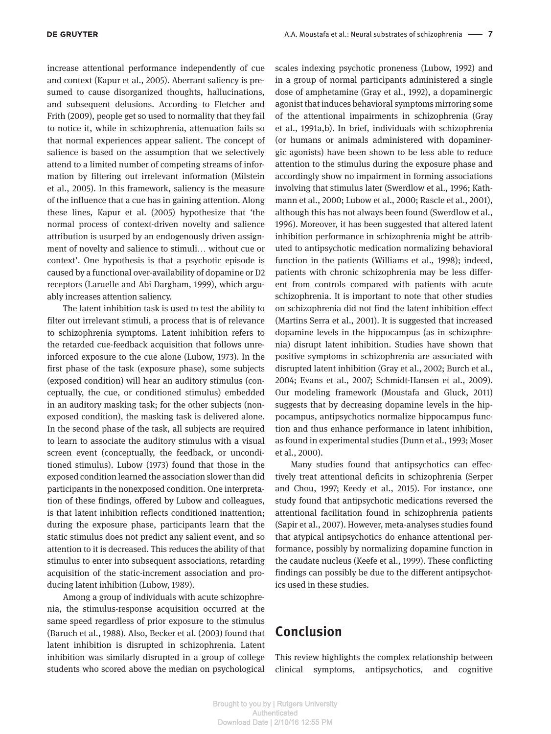increase attentional performance independently of cue and context (Kapur et al., 2005). Aberrant saliency is presumed to cause disorganized thoughts, hallucinations, and subsequent delusions. According to Fletcher and Frith (2009), people get so used to normality that they fail to notice it, while in schizophrenia, attenuation fails so that normal experiences appear salient. The concept of salience is based on the assumption that we selectively attend to a limited number of competing streams of information by filtering out irrelevant information (Milstein et al., 2005). In this framework, saliency is the measure of the influence that a cue has in gaining attention. Along these lines, Kapur et al. (2005) hypothesize that 'the normal process of context-driven novelty and salience attribution is usurped by an endogenously driven assignment of novelty and salience to stimuli… without cue or context'. One hypothesis is that a psychotic episode is caused by a functional over-availability of dopamine or D2 receptors (Laruelle and Abi Dargham, 1999), which arguably increases attention saliency.

The latent inhibition task is used to test the ability to filter out irrelevant stimuli, a process that is of relevance to schizophrenia symptoms. Latent inhibition refers to the retarded cue-feedback acquisition that follows unreinforced exposure to the cue alone (Lubow, 1973). In the first phase of the task (exposure phase), some subjects (exposed condition) will hear an auditory stimulus (conceptually, the cue, or conditioned stimulus) embedded in an auditory masking task; for the other subjects (nonexposed condition), the masking task is delivered alone. In the second phase of the task, all subjects are required to learn to associate the auditory stimulus with a visual screen event (conceptually, the feedback, or unconditioned stimulus). Lubow (1973) found that those in the exposed condition learned the association slower than did participants in the nonexposed condition. One interpretation of these findings, offered by Lubow and colleagues, is that latent inhibition reflects conditioned inattention; during the exposure phase, participants learn that the static stimulus does not predict any salient event, and so attention to it is decreased. This reduces the ability of that stimulus to enter into subsequent associations, retarding acquisition of the static-increment association and producing latent inhibition (Lubow, 1989).

Among a group of individuals with acute schizophrenia, the stimulus-response acquisition occurred at the same speed regardless of prior exposure to the stimulus (Baruch et al., 1988). Also, Becker et al. (2003) found that latent inhibition is disrupted in schizophrenia. Latent inhibition was similarly disrupted in a group of college students who scored above the median on psychological scales indexing psychotic proneness (Lubow, 1992) and in a group of normal participants administered a single dose of amphetamine (Gray et al., 1992), a dopaminergic agonist that induces behavioral symptoms mirroring some of the attentional impairments in schizophrenia (Gray et al., 1991a,b). In brief, individuals with schizophrenia (or humans or animals administered with dopaminergic agonists) have been shown to be less able to reduce attention to the stimulus during the exposure phase and accordingly show no impairment in forming associations involving that stimulus later (Swerdlow et al., 1996; Kathmann et al., 2000; Lubow et al., 2000; Rascle et al., 2001), although this has not always been found (Swerdlow et al., 1996). Moreover, it has been suggested that altered latent inhibition performance in schizophrenia might be attributed to antipsychotic medication normalizing behavioral function in the patients (Williams et al., 1998); indeed, patients with chronic schizophrenia may be less different from controls compared with patients with acute schizophrenia. It is important to note that other studies on schizophrenia did not find the latent inhibition effect (Martins Serra et al., 2001). It is suggested that increased dopamine levels in the hippocampus (as in schizophrenia) disrupt latent inhibition. Studies have shown that positive symptoms in schizophrenia are associated with disrupted latent inhibition (Gray et al., 2002; Burch et al., 2004; Evans et al., 2007; Schmidt-Hansen et al., 2009). Our modeling framework (Moustafa and Gluck, 2011) suggests that by decreasing dopamine levels in the hippocampus, antipsychotics normalize hippocampus function and thus enhance performance in latent inhibition, as found in experimental studies (Dunn et al., 1993; Moser et al., 2000).

Many studies found that antipsychotics can effectively treat attentional deficits in schizophrenia (Serper and Chou, 1997; Keedy et al., 2015). For instance, one study found that antipsychotic medications reversed the attentional facilitation found in schizophrenia patients (Sapir et al., 2007). However, meta-analyses studies found that atypical antipsychotics do enhance attentional performance, possibly by normalizing dopamine function in the caudate nucleus (Keefe et al., 1999). These conflicting findings can possibly be due to the different antipsychotics used in these studies.

# **Conclusion**

This review highlights the complex relationship between clinical symptoms, antipsychotics, and cognitive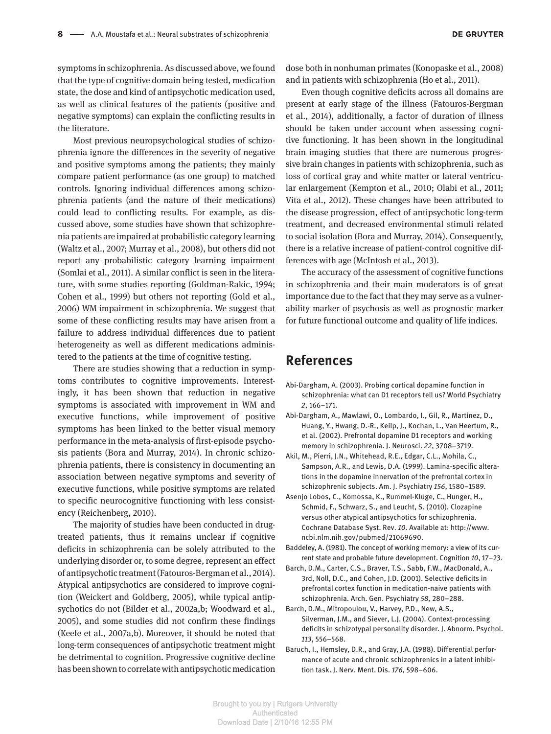symptoms in schizophrenia. As discussed above, we found that the type of cognitive domain being tested, medication state, the dose and kind of antipsychotic medication used, as well as clinical features of the patients (positive and negative symptoms) can explain the conflicting results in the literature.

Most previous neuropsychological studies of schizophrenia ignore the differences in the severity of negative and positive symptoms among the patients; they mainly compare patient performance (as one group) to matched controls. Ignoring individual differences among schizophrenia patients (and the nature of their medications) could lead to conflicting results. For example, as discussed above, some studies have shown that schizophrenia patients are impaired at probabilistic category learning (Waltz et al., 2007; Murray et al., 2008), but others did not report any probabilistic category learning impairment (Somlai et al., 2011). A similar conflict is seen in the literature, with some studies reporting (Goldman-Rakic, 1994; Cohen et al., 1999) but others not reporting (Gold et al., 2006) WM impairment in schizophrenia. We suggest that some of these conflicting results may have arisen from a failure to address individual differences due to patient heterogeneity as well as different medications administered to the patients at the time of cognitive testing.

There are studies showing that a reduction in symptoms contributes to cognitive improvements. Interestingly, it has been shown that reduction in negative symptoms is associated with improvement in WM and executive functions, while improvement of positive symptoms has been linked to the better visual memory performance in the meta-analysis of first-episode psychosis patients (Bora and Murray, 2014). In chronic schizophrenia patients, there is consistency in documenting an association between negative symptoms and severity of executive functions, while positive symptoms are related to specific neurocognitive functioning with less consistency (Reichenberg, 2010).

The majority of studies have been conducted in drugtreated patients, thus it remains unclear if cognitive deficits in schizophrenia can be solely attributed to the underlying disorder or, to some degree, represent an effect of antipsychotic treatment (Fatouros-Bergman et al., 2014). Atypical antipsychotics are considered to improve cognition (Weickert and Goldberg, 2005), while typical antipsychotics do not (Bilder et al., 2002a,b; Woodward et al., 2005), and some studies did not confirm these findings (Keefe et al., 2007a,b). Moreover, it should be noted that long-term consequences of antipsychotic treatment might be detrimental to cognition. Progressive cognitive decline has been shown to correlate with antipsychotic medication

dose both in nonhuman primates (Konopaske et al., 2008) and in patients with schizophrenia (Ho et al., 2011).

Even though cognitive deficits across all domains are present at early stage of the illness (Fatouros-Bergman et al., 2014), additionally, a factor of duration of illness should be taken under account when assessing cognitive functioning. It has been shown in the longitudinal brain imaging studies that there are numerous progressive brain changes in patients with schizophrenia, such as loss of cortical gray and white matter or lateral ventricular enlargement (Kempton et al., 2010; Olabi et al., 2011; Vita et al., 2012). These changes have been attributed to the disease progression, effect of antipsychotic long-term treatment, and decreased environmental stimuli related to social isolation (Bora and Murray, 2014). Consequently, there is a relative increase of patient-control cognitive differences with age (McIntosh et al., 2013).

The accuracy of the assessment of cognitive functions in schizophrenia and their main moderators is of great importance due to the fact that they may serve as a vulnerability marker of psychosis as well as prognostic marker for future functional outcome and quality of life indices.

# **References**

- Abi-Dargham, A. (2003). Probing cortical dopamine function in schizophrenia: what can D1 receptors tell us? World Psychiatry *2*, 166–171.
- Abi-Dargham, A., Mawlawi, O., Lombardo, I., Gil, R., Martinez, D., Huang, Y., Hwang, D.-R., Keilp, J., Kochan, L., Van Heertum, R., et al. (2002). Prefrontal dopamine D1 receptors and working memory in schizophrenia. J. Neurosci. *22*, 3708–3719.
- Akil, M., Pierri, J.N., Whitehead, R.E., Edgar, C.L., Mohila, C., Sampson, A.R., and Lewis, D.A. (1999). Lamina-specific alterations in the dopamine innervation of the prefrontal cortex in schizophrenic subjects. Am. J. Psychiatry *156*, 1580–1589.
- Asenjo Lobos, C., Komossa, K., Rummel-Kluge, C., Hunger, H., Schmid, F., Schwarz, S., and Leucht, S. (2010). Clozapine versus other atypical antipsychotics for schizophrenia. Cochrane Database Syst. Rev. *10*. Available at: http://www. ncbi.nlm.nih.gov/pubmed/21069690.
- Baddeley, A. (1981). The concept of working memory: a view of its current state and probable future development. Cognition *10*, 17–23.
- Barch, D.M., Carter, C.S., Braver, T.S., Sabb, F.W., MacDonald, A., 3rd, Noll, D.C., and Cohen, J.D. (2001). Selective deficits in prefrontal cortex function in medication-naive patients with schizophrenia. Arch. Gen. Psychiatry *58*, 280–288.
- Barch, D.M., Mitropoulou, V., Harvey, P.D., New, A.S., Silverman, J.M., and Siever, L.J. (2004). Context-processing deficits in schizotypal personality disorder. J. Abnorm. Psychol. *113*, 556–568.
- Baruch, I., Hemsley, D.R., and Gray, J.A. (1988). Differential performance of acute and chronic schizophrenics in a latent inhibition task. J. Nerv. Ment. Dis. *176*, 598–606.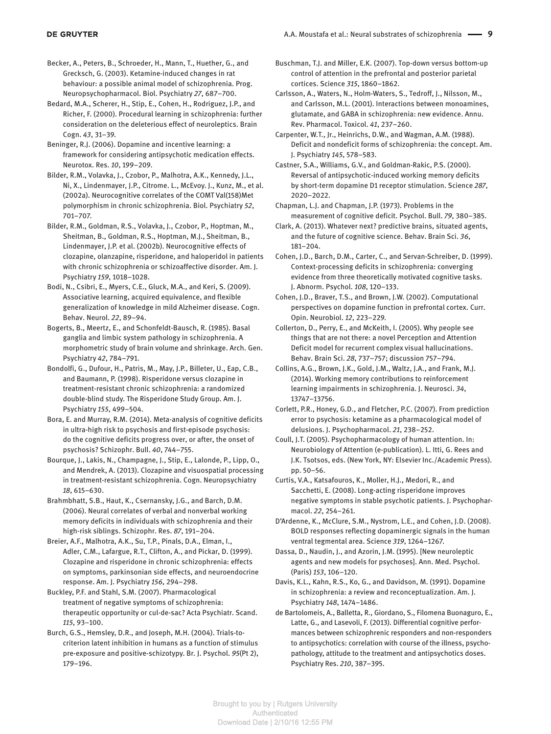Becker, A., Peters, B., Schroeder, H., Mann, T., Huether, G., and Grecksch, G. (2003). Ketamine-induced changes in rat behaviour: a possible animal model of schizophrenia. Prog. Neuropsychopharmacol. Biol. Psychiatry *27*, 687–700.

Bedard, M.A., Scherer, H., Stip, E., Cohen, H., Rodriguez, J.P., and Richer, F. (2000). Procedural learning in schizophrenia: further consideration on the deleterious effect of neuroleptics. Brain Cogn. *43*, 31–39.

Beninger, R.J. (2006). Dopamine and incentive learning: a framework for considering antipsychotic medication effects. Neurotox. Res. *10*, 199–209.

Bilder, R.M., Volavka, J., Czobor, P., Malhotra, A.K., Kennedy, J.L., Ni, X., Lindenmayer, J.P., Citrome. L., McEvoy. J., Kunz, M., et al. (2002a). Neurocognitive correlates of the COMT Val(158)Met polymorphism in chronic schizophrenia. Biol. Psychiatry *52*, 701–707.

Bilder, R.M., Goldman, R.S., Volavka, J., Czobor, P., Hoptman, M., Sheitman, B., Goldman, R.S., Hoptman, M.J., Sheitman, B., Lindenmayer, J.P. et al. (2002b). Neurocognitive effects of clozapine, olanzapine, risperidone, and haloperidol in patients with chronic schizophrenia or schizoaffective disorder. Am. J. Psychiatry *159*, 1018–1028.

Bodi, N., Csibri, E., Myers, C.E., Gluck, M.A., and Keri, S. (2009). Associative learning, acquired equivalence, and flexible generalization of knowledge in mild Alzheimer disease. Cogn. Behav. Neurol. *22*, 89–94.

Bogerts, B., Meertz, E., and Schonfeldt-Bausch, R. (1985). Basal ganglia and limbic system pathology in schizophrenia. A morphometric study of brain volume and shrinkage. Arch. Gen. Psychiatry *42*, 784–791.

Bondolfi, G., Dufour, H., Patris, M., May, J.P., Billeter, U., Eap, C.B., and Baumann, P. (1998). Risperidone versus clozapine in treatment-resistant chronic schizophrenia: a randomized double-blind study. The Risperidone Study Group. Am. J. Psychiatry *155*, 499–504.

Bora, E. and Murray, R.M. (2014). Meta-analysis of cognitive deficits in ultra-high risk to psychosis and first-episode psychosis: do the cognitive deficits progress over, or after, the onset of psychosis? Schizophr. Bull. *40*, 744–755.

Bourque, J., Lakis, N., Champagne, J., Stip, E., Lalonde, P., Lipp, O., and Mendrek, A. (2013). Clozapine and visuospatial processing in treatment-resistant schizophrenia. Cogn. Neuropsychiatry *18*, 615–630.

Brahmbhatt, S.B., Haut, K., Csernansky, J.G., and Barch, D.M. (2006). Neural correlates of verbal and nonverbal working memory deficits in individuals with schizophrenia and their high-risk siblings. Schizophr. Res. *87*, 191–204.

Breier, A.F., Malhotra, A.K., Su, T.P., Pinals, D.A., Elman, I., Adler, C.M., Lafargue, R.T., Clifton, A., and Pickar, D. (1999). Clozapine and risperidone in chronic schizophrenia: effects on symptoms, parkinsonian side effects, and neuroendocrine response. Am. J. Psychiatry *156*, 294–298.

Buckley, P.F. and Stahl, S.M. (2007). Pharmacological treatment of negative symptoms of schizophrenia: therapeutic opportunity or cul-de-sac? Acta Psychiatr. Scand. *115*, 93–100.

Burch, G.S., Hemsley, D.R., and Joseph, M.H. (2004). Trials-tocriterion latent inhibition in humans as a function of stimulus pre-exposure and positive-schizotypy. Br. J. Psychol. *95*(Pt 2), 179–196.

Buschman, T.J. and Miller, E.K. (2007). Top-down versus bottom-up control of attention in the prefrontal and posterior parietal cortices. Science *315*, 1860–1862.

Carlsson, A., Waters, N., Holm-Waters, S., Tedroff, J., Nilsson, M., and Carlsson, M.L. (2001). Interactions between monoamines, glutamate, and GABA in schizophrenia: new evidence. Annu. Rev. Pharmacol. Toxicol. *41*, 237–260.

Carpenter, W.T., Jr., Heinrichs, D.W., and Wagman, A.M. (1988). Deficit and nondeficit forms of schizophrenia: the concept. Am. J. Psychiatry *145*, 578–583.

Castner, S.A., Williams, G.V., and Goldman-Rakic, P.S. (2000). Reversal of antipsychotic-induced working memory deficits by short-term dopamine D1 receptor stimulation. Science *287*, 2020–2022.

Chapman, L.J. and Chapman, J.P. (1973). Problems in the measurement of cognitive deficit. Psychol. Bull. *79*, 380–385.

Clark, A. (2013). Whatever next? predictive brains, situated agents, and the future of cognitive science. Behav. Brain Sci. *36*, 181–204.

Cohen, J.D., Barch, D.M., Carter, C., and Servan-Schreiber, D. (1999). Context-processing deficits in schizophrenia: converging evidence from three theoretically motivated cognitive tasks. J. Abnorm. Psychol. *108*, 120–133.

Cohen, J.D., Braver, T.S., and Brown, J.W. (2002). Computational perspectives on dopamine function in prefrontal cortex. Curr. Opin. Neurobiol. *12*, 223–229.

Collerton, D., Perry, E., and McKeith, I. (2005). Why people see things that are not there: a novel Perception and Attention Deficit model for recurrent complex visual hallucinations. Behav. Brain Sci. *28*, 737–757; discussion 757–794.

Collins, A.G., Brown, J.K., Gold, J.M., Waltz, J.A., and Frank, M.J. (2014). Working memory contributions to reinforcement learning impairments in schizophrenia. J. Neurosci. *34*, 13747–13756.

Corlett, P.R., Honey, G.D., and Fletcher, P.C. (2007). From prediction error to psychosis: ketamine as a pharmacological model of delusions. J. Psychopharmacol. *21*, 238–252.

Coull, J.T. (2005). Psychopharmacology of human attention. In: Neurobiology of Attention (e-publication). L. Itti, G. Rees and J.K. Tsotsos, eds. (New York, NY: Elsevier Inc./Academic Press). pp. 50–56.

Curtis, V.A., Katsafouros, K., Moller, H.J., Medori, R., and Sacchetti, E. (2008). Long-acting risperidone improves negative symptoms in stable psychotic patients. J. Psychopharmacol. *22*, 254–261.

D'Ardenne, K., McClure, S.M., Nystrom, L.E., and Cohen, J.D. (2008). BOLD responses reflecting dopaminergic signals in the human ventral tegmental area. Science *319*, 1264–1267.

Dassa, D., Naudin, J., and Azorin, J.M. (1995). [New neuroleptic agents and new models for psychoses]. Ann. Med. Psychol. (Paris) *153*, 106–120.

Davis, K.L., Kahn, R.S., Ko, G., and Davidson, M. (1991). Dopamine in schizophrenia: a review and reconceptualization. Am. J. Psychiatry *148*, 1474–1486.

de Bartolomeis, A., Balletta, R., Giordano, S., Filomena Buonaguro, E., Latte, G., and Lasevoli, F. (2013). Differential cognitive performances between schizophrenic responders and non-responders to antipsychotics: correlation with course of the illness, psychopathology, attitude to the treatment and antipsychotics doses. Psychiatry Res. *210*, 387–395.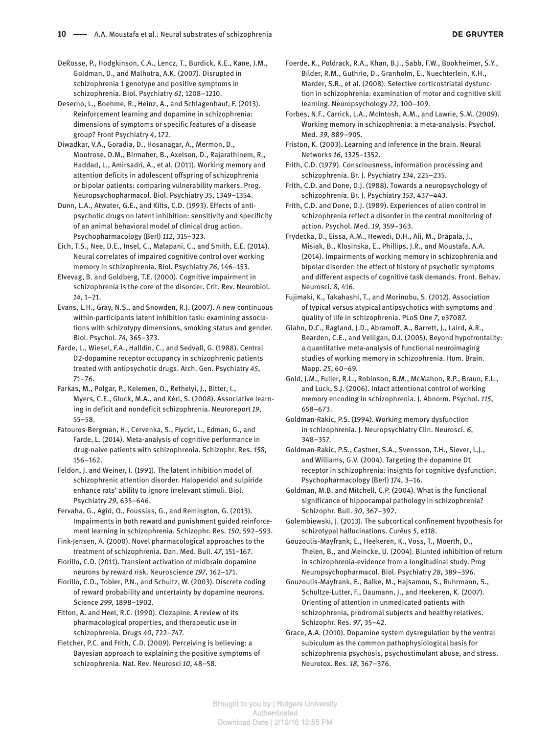DeRosse, P., Hodgkinson, C.A., Lencz, T., Burdick, K.E., Kane, J.M., Goldman, D., and Malhotra, A.K. (2007). Disrupted in schizophrenia 1 genotype and positive symptoms in schizophrenia. Biol. Psychiatry *61*, 1208–1210.

Deserno, L., Boehme, R., Heinz, A., and Schlagenhauf, F. (2013). Reinforcement learning and dopamine in schizophrenia: dimensions of symptoms or specific features of a disease group? Front Psychiatry *4*, 172.

Diwadkar, V.A., Goradia, D., Hosanagar, A., Mermon, D., Montrose, D.M., Birmaher, B., Axelson, D., Rajarathinem, R., Haddad, L., Amirsadri, A., et al. (2011). Working memory and attention deficits in adolescent offspring of schizophrenia or bipolar patients: comparing vulnerability markers. Prog. Neuropsychopharmacol. Biol. Psychiatry *35*, 1349–1354.

Dunn, L.A., Atwater, G.E., and Kilts, C.D. (1993). Effects of antipsychotic drugs on latent inhibition: sensitivity and specificity of an animal behavioral model of clinical drug action. Psychopharmacology (Berl) *112*, 315–323.

Eich, T.S., Nee, D.E., Insel, C., Malapani, C., and Smith, E.E. (2014). Neural correlates of impaired cognitive control over working memory in schizophrenia. Biol. Psychiatry *76*, 146–153.

Elvevag, B. and Goldberg, T.E. (2000). Cognitive impairment in schizophrenia is the core of the disorder. Crit. Rev. Neurobiol. *14*, 1–21.

Evans, L.H., Gray, N.S., and Snowden, R.J. (2007). A new continuous within-participants latent inhibition task: examining associations with schizotypy dimensions, smoking status and gender. Biol. Psychol. *74*, 365–373.

Farde, L., Wiesel, F.A., Halldin, C., and Sedvall, G. (1988). Central D2-dopamine receptor occupancy in schizophrenic patients treated with antipsychotic drugs. Arch. Gen. Psychiatry *45*, 71–76.

Farkas, M., Polgar, P., Kelemen, O., Rethelyi, J., Bitter, I., Myers, C.E., Gluck, M.A., and Kéri, S. (2008). Associative learning in deficit and nondeficit schizophrenia. Neuroreport *19*, 55–58.

Fatouros-Bergman, H., Cervenka, S., Flyckt, L., Edman, G., and Farde, L. (2014). Meta-analysis of cognitive performance in drug-naive patients with schizophrenia. Schizophr. Res. *158*, 156–162.

Feldon, J. and Weiner, I. (1991). The latent inhibition model of schizophrenic attention disorder. Haloperidol and sulpiride enhance rats' ability to ignore irrelevant stimuli. Biol. Psychiatry *29*, 635–646.

Fervaha, G., Agid, O., Foussias, G., and Remington, G. (2013). Impairments in both reward and punishment guided reinforcement learning in schizophrenia. Schizophr. Res. *150*, 592–593.

Fink-Jensen, A. (2000). Novel pharmacological approaches to the treatment of schizophrenia. Dan. Med. Bull. *47*, 151–167.

Fiorillo, C.D. (2011). Transient activation of midbrain dopamine neurons by reward risk. Neuroscience *197*, 162–171.

Fiorillo, C.D., Tobler, P.N., and Schultz, W. (2003). Discrete coding of reward probability and uncertainty by dopamine neurons. Science *299*, 1898–1902.

Fitton, A. and Heel, R.C. (1990). Clozapine. A review of its pharmacological properties, and therapeutic use in schizophrenia. Drugs *40*, 722–747.

Fletcher, P.C. and Frith, C.D. (2009). Perceiving is believing: a Bayesian approach to explaining the positive symptoms of schizophrenia. Nat. Rev. Neurosci *10*, 48–58.

Foerde, K., Poldrack, R.A., Khan, B.J., Sabb, F.W., Bookheimer, S.Y., Bilder, R.M., Guthrie, D., Granholm, E., Nuechterlein, K.H., Marder, S.R., et al. (2008). Selective corticostriatal dysfunction in schizophrenia: examination of motor and cognitive skill learning. Neuropsychology *22*, 100–109.

Forbes, N.F., Carrick, L.A., McIntosh, A.M., and Lawrie, S.M. (2009). Working memory in schizophrenia: a meta-analysis. Psychol. Med. *39*, 889–905.

Friston, K. (2003). Learning and inference in the brain. Neural Networks *16*, 1325–1352.

Frith, C.D. (1979). Consciousness, information processing and schizophrenia. Br. J. Psychiatry *134*, 225–235.

Frith, C.D. and Done, D.J. (1988). Towards a neuropsychology of schizophrenia. Br. J. Psychiatry *153*, 437–443.

Frith, C.D. and Done, D.J. (1989). Experiences of alien control in schizophrenia reflect a disorder in the central monitoring of action. Psychol. Med. *19*, 359–363.

Frydecka, D., Eissa, A.M., Hewedi, D.H., Ali, M., Drapala, J., Misiak, B., Klosinska, E., Phillips, J.R., and Moustafa, A.A. (2014). Impairments of working memory in schizophrenia and bipolar disorder: the effect of history of psychotic symptoms and different aspects of cognitive task demands. Front. Behav. Neurosci. *8*, 416.

Fujimaki, K., Takahashi, T., and Morinobu, S. (2012). Association of typical versus atypical antipsychotics with symptoms and quality of life in schizophrenia. PLoS One *7*, e37087.

Glahn, D.C., Ragland, J.D., Abramoff, A., Barrett, J., Laird, A.R., Bearden, C.E., and Velligan, D.I. (2005). Beyond hypofrontality: a quantitative meta-analysis of functional neuroimaging studies of working memory in schizophrenia. Hum. Brain. Mapp. *25*, 60–69.

Gold, J.M., Fuller, R.L., Robinson, B.M., McMahon, R.P., Braun, E.L., and Luck, S.J. (2006). Intact attentional control of working memory encoding in schizophrenia. J. Abnorm. Psychol. *115*, 658–673.

Goldman-Rakic, P.S. (1994). Working memory dysfunction in schizophrenia. J. Neuropsychiatry Clin. Neurosci. *6*, 348–357.

Goldman-Rakic, P.S., Castner, S.A., Svensson, T.H., Siever, L.J., and Williams, G.V. (2004). Targeting the dopamine D1 receptor in schizophrenia: insights for cognitive dysfunction. Psychopharmacology (Berl) *174*, 3–16.

Goldman, M.B. and Mitchell, C.P. (2004). What is the functional significance of hippocampal pathology in schizophrenia? Schizophr. Bull. *30*, 367–392.

Golembiewski, J. (2013). The subcortical confinement hypothesis for schizotypal hallucinations. Curēus *5*, e118.

Gouzoulis-Mayfrank, E., Heekeren, K., Voss, T., Moerth, D., Thelen, B., and Meincke, U. (2004). Blunted inhibition of return in schizophrenia-evidence from a longitudinal study. Prog Neuropsychopharmacol. Biol. Psychiatry *28*, 389–396.

Gouzoulis-Mayfrank, E., Balke, M., Hajsamou, S., Ruhrmann, S., Schultze-Lutter, F., Daumann, J., and Heekeren, K. (2007). Orienting of attention in unmedicated patients with schizophrenia, prodromal subjects and healthy relatives. Schizophr. Res. *97*, 35–42.

Grace, A.A. (2010). Dopamine system dysregulation by the ventral subiculum as the common pathophysiological basis for schizophrenia psychosis, psychostimulant abuse, and stress. Neurotox. Res. *18*, 367–376.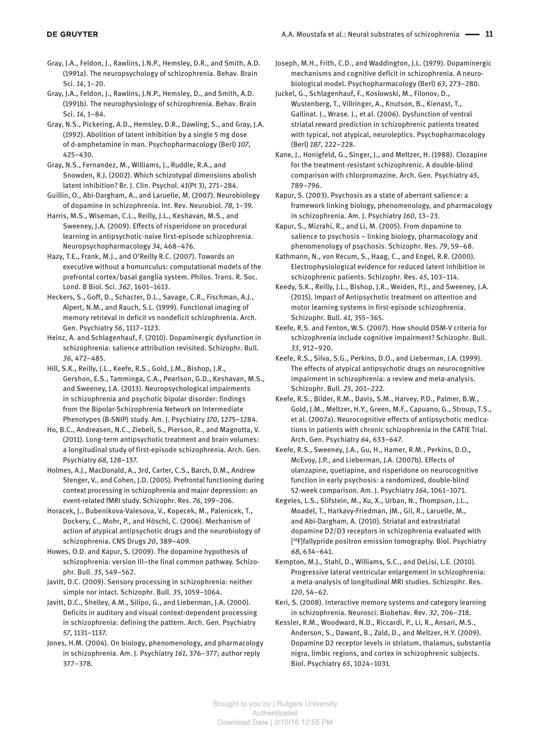- Gray, J.A., Feldon, J., Rawlins, J.N.P., Hemsley, D.R., and Smith, A.D. (1991a). The neuropsychology of schizophrenia. Behav. Brain Sci. *14*, 1–20.
- Gray, J.A., Feldon, J., Rawlins, J.N.P., Hemsley, D., and Smith, A.D. (1991b). The neurophysiology of schizophrenia. Behav. Brain Sci. *14*, 1–84.

Gray, N.S., Pickering, A.D., Hemsley, D.R., Dawling, S., and Gray, J.A. (1992). Abolition of latent inhibition by a single 5 mg dose of d-amphetamine in man. Psychopharmacology (Berl) *107*, 425–430.

Gray, N.S., Fernandez, M., Williams, J., Ruddle, R.A., and Snowden, R.J. (2002). Which schizotypal dimensions abolish latent inhibition? Br. J. Clin. Psychol. *41*(Pt 3), 271–284.

Guillin, O., Abi-Dargham, A., and Laruelle, M. (2007). Neurobiology of dopamine in schizophrenia. Int. Rev. Neurobiol. *78*, 1–39.

Harris, M.S., Wiseman, C.L., Reilly, J.L., Keshavan, M.S., and Sweeney, J.A. (2009). Effects of risperidone on procedural learning in antipsychotic-naive first-episode schizophrenia. Neuropsychopharmacology *34*, 468–476.

Hazy, T.E., Frank, M.J., and O'Reilly R.C. (2007). Towards an executive without a homunculus: computational models of the prefrontal cortex/basal ganglia system. Philos. Trans. R. Soc. Lond. B Biol. Sci. *362*, 1601–1613.

Heckers, S., Goff, D., Schacter, D.L., Savage, C.R., Fischman, A.J., Alpert, N.M., and Rauch, S.L. (1999). Functional imaging of memory retrieval in deficit vs nondeficit schizophrenia. Arch. Gen. Psychiatry *56*, 1117–1123.

Heinz, A. and Schlagenhauf, F. (2010). Dopaminergic dysfunction in schizophrenia: salience attribution revisited. Schizophr. Bull. *36*, 472–485.

Hill, S.K., Reilly, J.L., Keefe, R.S., Gold, J.M., Bishop, J.R., Gershon, E.S., Tamminga, C.A., Pearlson, G.D., Keshavan, M.S., and Sweeney, J.A. (2013). Neuropsychological impairments in schizophrenia and psychotic bipolar disorder: findings from the Bipolar-Schizophrenia Network on Intermediate Phenotypes (B-SNIP) study. Am. J. Psychiatry *170*, 1275–1284.

Ho, B.C., Andreasen, N.C., Ziebell, S., Pierson, R., and Magnotta, V. (2011). Long-term antipsychotic treatment and brain volumes: a longitudinal study of first-episode schizophrenia. Arch. Gen. Psychiatry *68*, 128–137.

Holmes, A.J., MacDonald, A., 3rd, Carter, C.S., Barch, D.M., Andrew Stenger, V., and Cohen, J.D. (2005). Prefrontal functioning during context processing in schizophrenia and major depression: an event-related fMRI study. Schizophr. Res. *76*, 199–206.

Horacek, J., Bubenikova-Valesova, V., Kopecek, M., Palenicek, T., Dockery, C., Mohr, P., and Höschl, C. (2006). Mechanism of action of atypical antipsychotic drugs and the neurobiology of schizophrenia. CNS Drugs *20*, 389–409.

Howes, O.D. and Kapur, S. (2009). The dopamine hypothesis of schizophrenia: version III–the final common pathway. Schizophr. Bull. *35*, 549–562.

Javitt, D.C. (2009). Sensory processing in schizophrenia: neither simple nor intact. Schizophr. Bull. *35*, 1059–1064.

Javitt, D.C., Shelley, A.M., Silipo, G., and Lieberman, J.A. (2000). Deficits in auditory and visual context-dependent processing in schizophrenia: defining the pattern. Arch. Gen. Psychiatry *57*, 1131–1137.

Jones, H.M. (2004). On biology, phenomenology, and pharmacology in schizophrenia. Am. J. Psychiatry *161*, 376–377; author reply 377–378.

Joseph, M.H., Frith, C.D., and Waddington, J.L. (1979). Dopaminergic mechanisms and cognitive deficit in schizophrenia. A neurobiological model. Psychopharmacology (Berl) *63*, 273–280.

Juckel, G., Schlagenhauf, F., Koslowski, M., Filonov, D., Wustenberg, T., Villringer, A., Knutson, B., Kienast, T., Gallinat. J., Wrase. J., et al. (2006). Dysfunction of ventral striatal reward prediction in schizophrenic patients treated with typical, not atypical, neuroleptics. Psychopharmacology (Berl) *187*, 222–228.

Kane, J., Honigfeld, G., Singer, J., and Meltzer, H. (1988). Clozapine for the treatment-resistant schizophrenic. A double-blind comparison with chlorpromazine. Arch. Gen. Psychiatry *45*, 789–796.

Kapur, S. (2003). Psychosis as a state of aberrant salience: a framework linking biology, phenomenology, and pharmacology in schizophrenia. Am. J. Psychiatry *160*, 13–23.

Kapur, S., Mizrahi, R., and Li, M. (2005). From dopamine to salience to psychosis – linking biology, pharmacology and phenomenology of psychosis. Schizophr. Res. *79*, 59–68.

Kathmann, N., von Recum, S., Haag, C., and Engel, R.R. (2000). Electrophysiological evidence for reduced latent inhibition in schizophrenic patients. Schizophr. Res. *45*, 103–114.

Keedy, S.K., Reilly, J.L., Bishop, J.R., Weiden, P.J., and Sweeney, J.A. (2015). Impact of Antipsychotic treatment on attention and motor learning systems in first-episode schizophrenia. Schizophr. Bull. *41*, 355–365.

Keefe, R.S. and Fenton, W.S. (2007). How should DSM-V criteria for schizophrenia include cognitive impairment? Schizophr. Bull. *33*, 912–920.

Keefe, R.S., Silva, S.G., Perkins, D.O., and Lieberman, J.A. (1999). The effects of atypical antipsychotic drugs on neurocognitive impairment in schizophrenia: a review and meta-analysis. Schizophr. Bull. *25*, 201–222.

Keefe, R.S., Bilder, R.M., Davis, S.M., Harvey, P.D., Palmer, B.W., Gold, J.M., Meltzer, H.Y., Green, M.F., Capuano, G., Stroup, T.S., et al. (2007a). Neurocognitive effects of antipsychotic medications in patients with chronic schizophrenia in the CATIE Trial. Arch. Gen. Psychiatry *64*, 633–647.

Keefe, R.S., Sweeney, J.A., Gu, H., Hamer, R.M., Perkins, D.O., McEvoy, J.P., and Lieberman, J.A. (2007b). Effects of olanzapine, quetiapine, and risperidone on neurocognitive function in early psychosis: a randomized, double-blind 52-week comparison. Am. J. Psychiatry *164*, 1061–1071.

Kegeles, L.S., Slifstein, M., Xu, X., Urban, N., Thompson, J.L., Moadel, T., Harkavy-Friedman, JM., Gil, R., Laruelle, M., and Abi-Dargham, A. (2010). Striatal and extrastriatal dopamine D2/D3 receptors in schizophrenia evaluated with [ 18F]fallypride positron emission tomography. Biol. Psychiatry *68*, 634–641.

Kempton, M.J., Stahl, D., Williams, S.C., and DeLisi, L.E. (2010). Progressive lateral ventricular enlargement in schizophrenia: a meta-analysis of longitudinal MRI studies. Schizophr. Res. *120*, 54–62.

Keri, S. (2008). Interactive memory systems and category learning in schizophrenia. Neurosci. Biobehav. Rev. *32*, 206–218.

Kessler, R.M., Woodward, N.D., Riccardi, P., Li, R., Ansari, M.S., Anderson, S., Dawant, B., Zald, D., and Meltzer, H.Y. (2009). Dopamine D2 receptor levels in striatum, thalamus, substantia nigra, limbic regions, and cortex in schizophrenic subjects. Biol. Psychiatry *65*, 1024–1031.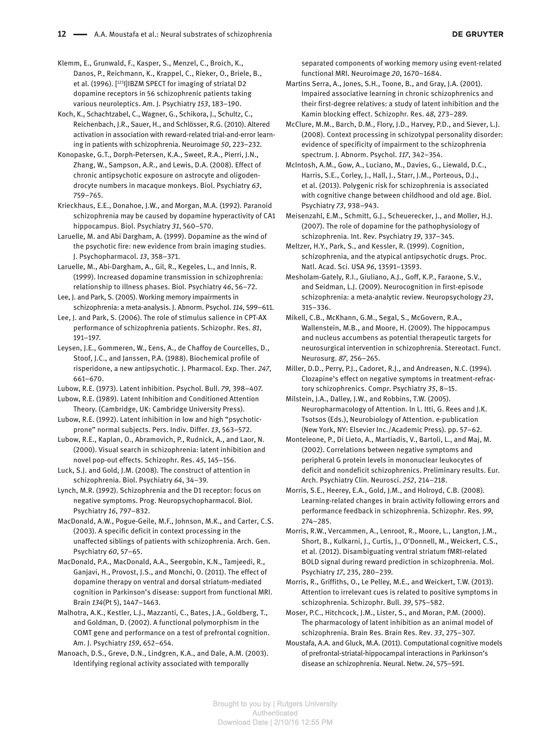Klemm, E., Grunwald, F., Kasper, S., Menzel, C., Broich, K., Danos, P., Reichmann, K., Krappel, C., Rieker, O., Briele, B., et al. (1996). [123I]IBZM SPECT for imaging of striatal D2 dopamine receptors in 56 schizophrenic patients taking various neuroleptics. Am. J. Psychiatry *153*, 183–190.

Koch, K., Schachtzabel, C., Wagner, G., Schikora, J., Schultz, C., Reichenbach, J.R., Sauer, H., and Schlösser, R.G. (2010). Altered activation in association with reward-related trial-and-error learning in patients with schizophrenia. Neuroimage *50*, 223–232.

Konopaske, G.T., Dorph-Petersen, K.A., Sweet, R.A., Pierri, J.N., Zhang, W., Sampson, A.R., and Lewis, D.A. (2008). Effect of chronic antipsychotic exposure on astrocyte and oligodendrocyte numbers in macaque monkeys. Biol. Psychiatry *63*, 759–765.

Krieckhaus, E.E., Donahoe, J.W., and Morgan, M.A. (1992). Paranoid schizophrenia may be caused by dopamine hyperactivity of CA1 hippocampus. Biol. Psychiatry *31*, 560–570.

Laruelle, M. and Abi Dargham, A. (1999). Dopamine as the wind of the psychotic fire: new evidence from brain imaging studies. J. Psychopharmacol. *13*, 358–371.

Laruelle, M., Abi-Dargham, A., Gil, R., Kegeles, L., and Innis, R. (1999). Increased dopamine transmission in schizophrenia: relationship to illness phases. Biol. Psychiatry *46*, 56–72.

Lee, J. and Park, S. (2005). Working memory impairments in schizophrenia: a meta-analysis. J. Abnorm. Psychol. *114*, 599–611.

Lee, J. and Park, S. (2006). The role of stimulus salience in CPT-AX performance of schizophrenia patients. Schizophr. Res. *81*, 191–197.

Leysen, J.E., Gommeren, W., Eens, A., de Chaffoy de Courcelles, D., Stoof, J.C., and Janssen, P.A. (1988). Biochemical profile of risperidone, a new antipsychotic. J. Pharmacol. Exp. Ther. *247*, 661–670.

Lubow, R.E. (1973). Latent inhibition. Psychol. Bull. *79*, 398–407.

Lubow, R.E. (1989). Latent Inhibition and Conditioned Attention Theory. (Cambridge, UK: Cambridge University Press).

Lubow, R.E. (1992). Latent inhibition in low and high "psychoticprone" normal subjects. Pers. Indiv. Differ. *13*, 563–572.

Lubow, R.E., Kaplan, O., Abramovich, P., Rudnick, A., and Laor, N. (2000). Visual search in schizophrenia: latent inhibition and novel pop-out effects. Schizophr. Res. *45*, 145–156.

Luck, S.J. and Gold, J.M. (2008). The construct of attention in schizophrenia. Biol. Psychiatry *64*, 34–39.

Lynch, M.R. (1992). Schizophrenia and the D1 receptor: focus on negative symptoms. Prog. Neuropsychopharmacol. Biol. Psychiatry *16*, 797–832.

MacDonald, A.W., Pogue-Geile, M.F., Johnson, M.K., and Carter, C.S. (2003). A specific deficit in context processing in the unaffected siblings of patients with schizophrenia. Arch. Gen. Psychiatry *60*, 57–65.

MacDonald, P.A., MacDonald, A.A., Seergobin, K.N., Tamjeedi, R., Ganjavi, H., Provost, J.S., and Monchi, O. (2011). The effect of dopamine therapy on ventral and dorsal striatum-mediated cognition in Parkinson's disease: support from functional MRI. Brain *134*(Pt 5), 1447–1463.

Malhotra, A.K., Kestler, L.J., Mazzanti, C., Bates, J.A., Goldberg, T., and Goldman, D. (2002). A functional polymorphism in the COMT gene and performance on a test of prefrontal cognition. Am. J. Psychiatry *159*, 652–654.

Manoach, D.S., Greve, D.N., Lindgren, K.A., and Dale, A.M. (2003). Identifying regional activity associated with temporally

separated components of working memory using event-related functional MRI. Neuroimage *20*, 1670–1684.

Martins Serra, A., Jones, S.H., Toone, B., and Gray, J.A. (2001). Impaired associative learning in chronic schizophrenics and their first-degree relatives: a study of latent inhibition and the Kamin blocking effect. Schizophr. Res. *48*, 273–289.

McClure, M.M., Barch, D.M., Flory, J.D., Harvey, P.D., and Siever, L.J. (2008). Context processing in schizotypal personality disorder: evidence of specificity of impairment to the schizophrenia spectrum. J. Abnorm. Psychol. *117*, 342–354.

McIntosh, A.M., Gow, A., Luciano, M., Davies, G., Liewald, D.C., Harris, S.E., Corley, J., Hall, J., Starr, J.M., Porteous, D.J., et al. (2013). Polygenic risk for schizophrenia is associated with cognitive change between childhood and old age. Biol. Psychiatry *73*, 938–943.

Meisenzahl, E.M., Schmitt, G.J., Scheuerecker, J., and Moller, H.J. (2007). The role of dopamine for the pathophysiology of schizophrenia. Int. Rev. Psychiatry *19*, 337–345.

Meltzer, H.Y., Park, S., and Kessler, R. (1999). Cognition, schizophrenia, and the atypical antipsychotic drugs. Proc. Natl. Acad. Sci. USA *96*, 13591–13593.

Mesholam-Gately, R.I., Giuliano, A.J., Goff, K.P., Faraone, S.V., and Seidman, L.J. (2009). Neurocognition in first-episode schizophrenia: a meta-analytic review. Neuropsychology *23*, 315–336.

Mikell, C.B., McKhann, G.M., Segal, S., McGovern, R.A., Wallenstein, M.B., and Moore, H. (2009). The hippocampus and nucleus accumbens as potential therapeutic targets for neurosurgical intervention in schizophrenia. Stereotact. Funct. Neurosurg. *87*, 256–265.

Miller, D.D., Perry, P.J., Cadoret, R.J., and Andreasen, N.C. (1994). Clozapine's effect on negative symptoms in treatment-refractory schizophrenics. Compr. Psychiatry *35*, 8–15.

Milstein, J.A., Dalley, J.W., and Robbins, T.W. (2005). Neuropharmacology of Attention. In L. Itti, G. Rees and J.K. Tsotsos (Eds.), Neurobiology of Attention. e-publication (New York, NY: Elsevier Inc./Academic Press). pp. 57–62.

Monteleone, P., Di Lieto, A., Martiadis, V., Bartoli, L., and Maj, M. (2002). Correlations between negative symptoms and peripheral G protein levels in mononuclear leukocytes of deficit and nondeficit schizophrenics. Preliminary results. Eur. Arch. Psychiatry Clin. Neurosci. *252*, 214–218.

Morris, S.E., Heerey, E.A., Gold, J.M., and Holroyd, C.B. (2008). Learning-related changes in brain activity following errors and performance feedback in schizophrenia. Schizophr. Res. *99*, 274–285.

Morris, R.W., Vercammen, A., Lenroot, R., Moore, L., Langton, J.M., Short, B., Kulkarni, J., Curtis, J., O'Donnell, M., Weickert, C.S., et al. (2012). Disambiguating ventral striatum fMRI-related BOLD signal during reward prediction in schizophrenia. Mol. Psychiatry *17*, 235, 280–239.

Morris, R., Griffiths, O., Le Pelley, M.E., and Weickert, T.W. (2013). Attention to irrelevant cues is related to positive symptoms in schizophrenia. Schizophr. Bull. *39*, 575–582.

Moser, P.C., Hitchcock, J.M., Lister, S., and Moran, P.M. (2000). The pharmacology of latent inhibition as an animal model of schizophrenia. Brain Res. Brain Res. Rev. *33*, 275–307.

Moustafa, A.A. and Gluck, M.A. (2011). Computational cognitive models of prefrontal-striatal-hippocampal interactions in Parkinson's disease an schizophrenia. Neural. Netw. *24*, 575–591.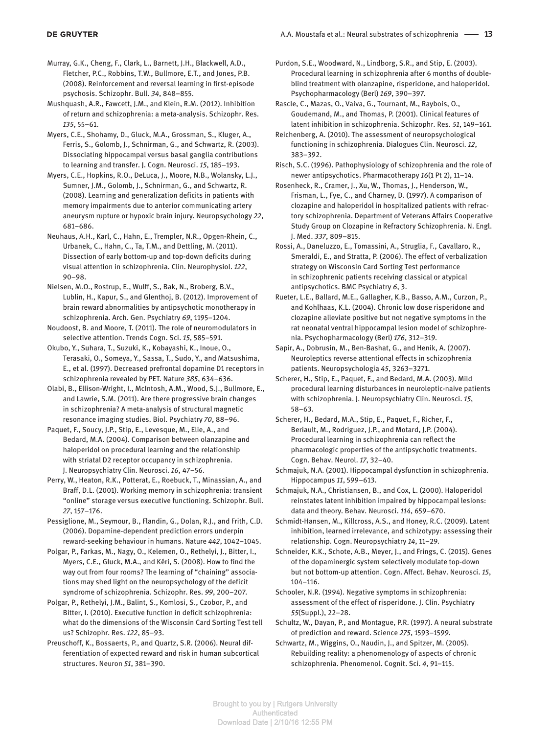Murray, G.K., Cheng, F., Clark, L., Barnett, J.H., Blackwell, A.D., Fletcher, P.C., Robbins, T.W., Bullmore, E.T., and Jones, P.B. (2008). Reinforcement and reversal learning in first-episode psychosis. Schizophr. Bull. *34*, 848–855.

Mushquash, A.R., Fawcett, J.M., and Klein, R.M. (2012). Inhibition of return and schizophrenia: a meta-analysis. Schizophr. Res. *135*, 55–61.

Myers, C.E., Shohamy, D., Gluck, M.A., Grossman, S., Kluger, A., Ferris, S., Golomb, J., Schnirman, G., and Schwartz, R. (2003). Dissociating hippocampal versus basal ganglia contributions to learning and transfer. J. Cogn. Neurosci. *15*, 185–193.

Myers, C.E., Hopkins, R.O., DeLuca, J., Moore, N.B., Wolansky, L.J., Sumner, J.M., Golomb, J., Schnirman, G., and Schwartz, R. (2008). Learning and generalization deficits in patients with memory impairments due to anterior communicating artery aneurysm rupture or hypoxic brain injury. Neuropsychology *22*, 681–686.

Neuhaus, A.H., Karl, C., Hahn, E., Trempler, N.R., Opgen-Rhein, C., Urbanek, C., Hahn, C., Ta, T.M., and Dettling, M. (2011). Dissection of early bottom-up and top-down deficits during visual attention in schizophrenia. Clin. Neurophysiol. *122*, 90–98.

Nielsen, M.O., Rostrup, E., Wulff, S., Bak, N., Broberg, B.V., Lublin, H., Kapur, S., and Glenthoj, B. (2012). Improvement of brain reward abnormalities by antipsychotic monotherapy in schizophrenia. Arch. Gen. Psychiatry *69*, 1195–1204.

Noudoost, B. and Moore, T. (2011). The role of neuromodulators in selective attention. Trends Cogn. Sci. *15*, 585–591.

Okubo, Y., Suhara, T., Suzuki, K., Kobayashi, K., Inoue, O., Terasaki, O., Someya, Y., Sassa, T., Sudo, Y., and Matsushima, E., et al. (1997). Decreased prefrontal dopamine D1 receptors in schizophrenia revealed by PET. Nature *385*, 634–636.

Olabi, B., Ellison-Wright, I., McIntosh, A.M., Wood, S.J., Bullmore, E., and Lawrie, S.M. (2011). Are there progressive brain changes in schizophrenia? A meta-analysis of structural magnetic resonance imaging studies. Biol. Psychiatry *70*, 88–96.

Paquet, F., Soucy, J.P., Stip, E., Levesque, M., Elie, A., and Bedard, M.A. (2004). Comparison between olanzapine and haloperidol on procedural learning and the relationship with striatal D2 receptor occupancy in schizophrenia. J. Neuropsychiatry Clin. Neurosci. *16*, 47–56.

Perry, W., Heaton, R.K., Potterat, E., Roebuck, T., Minassian, A., and Braff, D.L. (2001). Working memory in schizophrenia: transient "online" storage versus executive functioning. Schizophr. Bull. *27*, 157–176.

Pessiglione, M., Seymour, B., Flandin, G., Dolan, R.J., and Frith, C.D. (2006). Dopamine-dependent prediction errors underpin reward-seeking behaviour in humans. Nature *442*, 1042–1045.

Polgar, P., Farkas, M., Nagy, O., Kelemen, O., Rethelyi, J., Bitter, I., Myers, C.E., Gluck, M.A., and Kéri, S. (2008). How to find the way out from four rooms? The learning of "chaining" associations may shed light on the neuropsychology of the deficit syndrome of schizophrenia. Schizophr. Res. *99*, 200–207.

Polgar, P., Rethelyi, J.M., Balint, S., Komlosi, S., Czobor, P., and Bitter, I. (2010). Executive function in deficit schizophrenia: what do the dimensions of the Wisconsin Card Sorting Test tell us? Schizophr. Res. *122*, 85–93.

Preuschoff, K., Bossaerts, P., and Quartz, S.R. (2006). Neural differentiation of expected reward and risk in human subcortical structures. Neuron *51*, 381–390.

Purdon, S.E., Woodward, N., Lindborg, S.R., and Stip, E. (2003). Procedural learning in schizophrenia after 6 months of doubleblind treatment with olanzapine, risperidone, and haloperidol. Psychopharmacology (Berl) *169*, 390–397.

Rascle, C., Mazas, O., Vaiva, G., Tournant, M., Raybois, O., Goudemand, M., and Thomas, P. (2001). Clinical features of latent inhibition in schizophrenia. Schizophr. Res. *51*, 149–161.

Reichenberg, A. (2010). The assessment of neuropsychological functioning in schizophrenia. Dialogues Clin. Neurosci. *12*, 383–392.

Risch, S.C. (1996). Pathophysiology of schizophrenia and the role of newer antipsychotics. Pharmacotherapy *16*(1 Pt 2), 11–14.

Rosenheck, R., Cramer, J., Xu, W., Thomas, J., Henderson, W., Frisman, L., Fye, C., and Charney, D. (1997). A comparison of clozapine and haloperidol in hospitalized patients with refractory schizophrenia. Department of Veterans Affairs Cooperative Study Group on Clozapine in Refractory Schizophrenia. N. Engl. J. Med. *337*, 809–815.

Rossi, A., Daneluzzo, E., Tomassini, A., Struglia, F., Cavallaro, R., Smeraldi, E., and Stratta, P. (2006). The effect of verbalization strategy on Wisconsin Card Sorting Test performance in schizophrenic patients receiving classical or atypical antipsychotics. BMC Psychiatry *6*, 3.

Rueter, L.E., Ballard, M.E., Gallagher, K.B., Basso, A.M., Curzon, P., and Kohlhaas, K.L. (2004). Chronic low dose risperidone and clozapine alleviate positive but not negative symptoms in the rat neonatal ventral hippocampal lesion model of schizophrenia. Psychopharmacology (Berl) *176*, 312–319.

Sapir, A., Dobrusin, M., Ben-Bashat, G., and Henik, A. (2007). Neuroleptics reverse attentional effects in schizophrenia patients. Neuropsychologia *45*, 3263–3271.

Scherer, H., Stip, E., Paquet, F., and Bedard, M.A. (2003). Mild procedural learning disturbances in neuroleptic-naive patients with schizophrenia. J. Neuropsychiatry Clin. Neurosci. *15*, 58–63.

Scherer, H., Bedard, M.A., Stip, E., Paquet, F., Richer, F., Beriault, M., Rodriguez, J.P., and Motard, J.P. (2004). Procedural learning in schizophrenia can reflect the pharmacologic properties of the antipsychotic treatments. Cogn. Behav. Neurol. *17*, 32–40.

Schmajuk, N.A. (2001). Hippocampal dysfunction in schizophrenia. Hippocampus *11*, 599–613.

Schmajuk, N.A., Christiansen, B., and Cox, L. (2000). Haloperidol reinstates latent inhibition impaired by hippocampal lesions: data and theory. Behav. Neurosci. *114*, 659–670.

Schmidt-Hansen, M., Killcross, A.S., and Honey, R.C. (2009). Latent inhibition, learned irrelevance, and schizotypy: assessing their relationship. Cogn. Neuropsychiatry *14*, 11–29.

Schneider, K.K., Schote, A.B., Meyer, J., and Frings, C. (2015). Genes of the dopaminergic system selectively modulate top-down but not bottom-up attention. Cogn. Affect. Behav. Neurosci. *15*, 104–116.

Schooler, N.R. (1994). Negative symptoms in schizophrenia: assessment of the effect of risperidone. J. Clin. Psychiatry *55*(Suppl.), 22–28.

Schultz, W., Dayan, P., and Montague, P.R. (1997). A neural substrate of prediction and reward. Science *275*, 1593–1599.

Schwartz, M., Wiggins, O., Naudin, J., and Spitzer, M. (2005). Rebuilding reality: a phenomenology of aspects of chronic schizophrenia. Phenomenol. Cognit. Sci. *4*, 91–115.